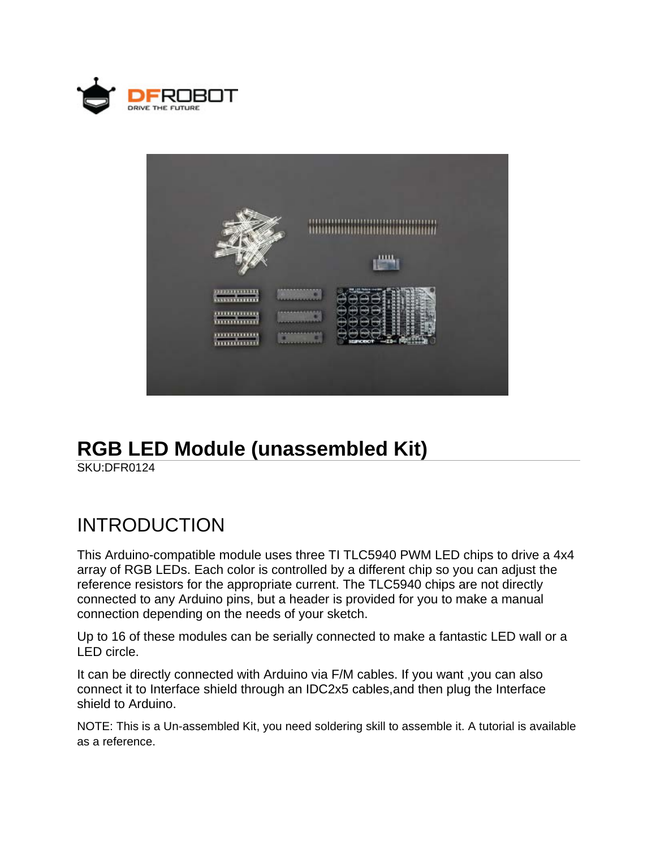



## **RGB LED Module (unassembled Kit)**

SKU:DFR0124

## INTRODUCTION

This Arduino-compatible module uses three TI TLC5940 PWM LED chips to drive a 4x4 array of RGB LEDs. Each color is controlled by a different chip so you can adjust the reference resistors for the appropriate current. The TLC5940 chips are not directly connected to any Arduino pins, but a header is provided for you to make a manual connection depending on the needs of your sketch.

Up to 16 of these modules can be serially connected to make a fantastic LED wall or a LED circle.

It can be directly connected with Arduino via F/M cables. If you want ,you can also connect it to Interface shield through an IDC2x5 cables,and then plug the Interface shield to Arduino.

NOTE: This is a Un-assembled Kit, you need soldering skill to assemble it. A tutorial is available as a reference.